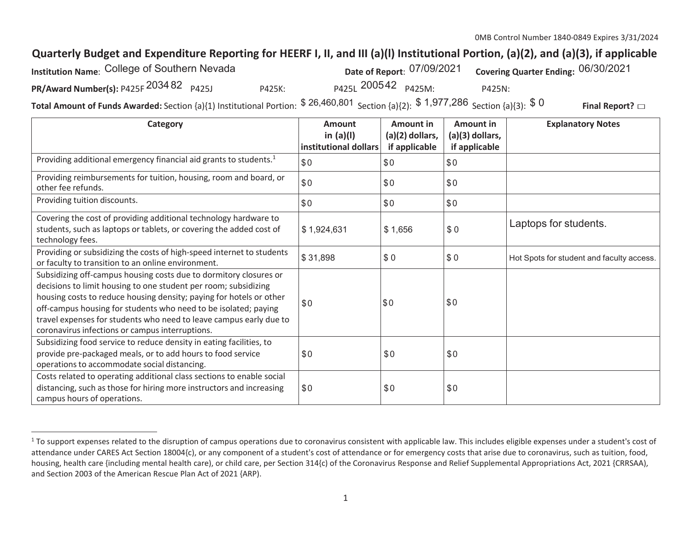## Quarterly Budget and Expenditure Reporting for HEERF I, II, and III (a)(I) Institutional Portion, (a)(2), and (a)(3), if applicable

| Institution Name: College of Southern Nevada |        |                     | Date of Report: 07/09/2021 | <sup>1</sup> Covering Quarter Ending: 06/30/2021 |  |
|----------------------------------------------|--------|---------------------|----------------------------|--------------------------------------------------|--|
| PR/Award Number(s): P425F 2034 82 P425J      | P425K: | P425L 200542 P425M: |                            | P425N:                                           |  |
|                                              |        | 0.200001            | <b>C</b> 4 0.77 0.00       |                                                  |  |

**Total Amount of Funds Awarded:** Section {a}{1) Institutional Portion:  $$26,460,801$  Section {a}{2):  $$1,977,286$  Section {a}{3):  $$$ <sup>0</sup> **Final Report? □**

| Category                                                                                                                                                                                                                                                                                                                                                                                                | <b>Amount</b><br>in $(a)(I)$<br>institutional dollars | <b>Amount in</b><br>$(a)(2)$ dollars,<br>if applicable | Amount in<br>(a)(3) dollars,<br>if applicable | <b>Explanatory Notes</b>                  |
|---------------------------------------------------------------------------------------------------------------------------------------------------------------------------------------------------------------------------------------------------------------------------------------------------------------------------------------------------------------------------------------------------------|-------------------------------------------------------|--------------------------------------------------------|-----------------------------------------------|-------------------------------------------|
| Providing additional emergency financial aid grants to students. <sup>1</sup>                                                                                                                                                                                                                                                                                                                           | \$0                                                   | \$0                                                    | \$0                                           |                                           |
| Providing reimbursements for tuition, housing, room and board, or<br>other fee refunds.                                                                                                                                                                                                                                                                                                                 | \$0                                                   | \$0                                                    | \$0                                           |                                           |
| Providing tuition discounts.                                                                                                                                                                                                                                                                                                                                                                            | \$0                                                   | \$0                                                    | \$0                                           |                                           |
| Covering the cost of providing additional technology hardware to<br>students, such as laptops or tablets, or covering the added cost of<br>technology fees.                                                                                                                                                                                                                                             | \$1,924,631                                           | \$1,656                                                | \$0                                           | Laptops for students.                     |
| Providing or subsidizing the costs of high-speed internet to students<br>or faculty to transition to an online environment.                                                                                                                                                                                                                                                                             | \$31,898                                              | \$0                                                    | \$0                                           | Hot Spots for student and faculty access. |
| Subsidizing off-campus housing costs due to dormitory closures or<br>decisions to limit housing to one student per room; subsidizing<br>housing costs to reduce housing density; paying for hotels or other<br>off-campus housing for students who need to be isolated; paying<br>travel expenses for students who need to leave campus early due to<br>coronavirus infections or campus interruptions. | \$0                                                   | \$0                                                    | \$0                                           |                                           |
| Subsidizing food service to reduce density in eating facilities, to<br>provide pre-packaged meals, or to add hours to food service<br>operations to accommodate social distancing.                                                                                                                                                                                                                      | \$0                                                   | \$0                                                    | \$0                                           |                                           |
| Costs related to operating additional class sections to enable social<br>distancing, such as those for hiring more instructors and increasing<br>campus hours of operations.                                                                                                                                                                                                                            | \$0                                                   | \$0                                                    | \$0                                           |                                           |

<sup>&</sup>lt;sup>1</sup> To support expenses related to the disruption of campus operations due to coronavirus consistent with applicable law. This includes eligible expenses under a student's cost of attendance under CARES Act Section 18004{c), or any component of a student's cost of attendance or for emergency costs that arise due to coronavirus, such as tuition, food, housing, health care {including mental health care), or child care, per Section 314{c) of the Coronavirus Response and Relief Supplemental Appropriations Act, 2021 {CRRSAA), and Section 2003 of the American Rescue Plan Act of 2021 {ARP).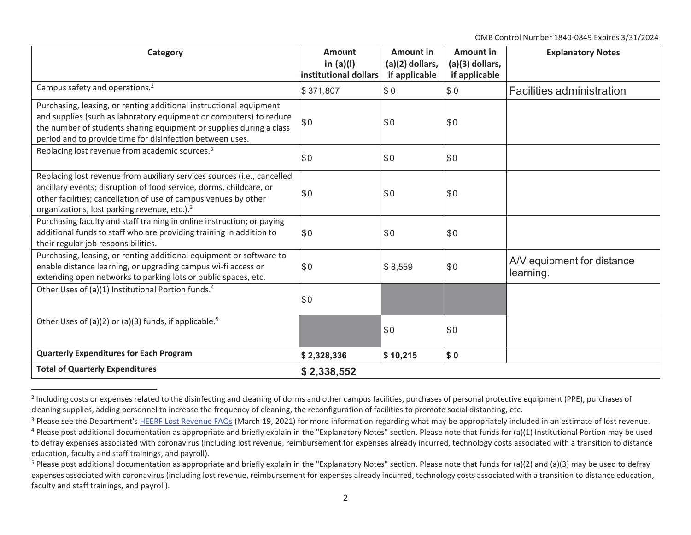OMB Control Number 1840-0849 Expires 3/31/2024

| <b>Category</b>                                                                                                                                                                                                                                                              | Amount<br>in $(a)(I)$<br>institutional dollars | <b>Amount in</b><br>(a)(2) dollars,<br>if applicable | <b>Amount in</b><br>(a)(3) dollars,<br>if applicable | <b>Explanatory Notes</b>                |
|------------------------------------------------------------------------------------------------------------------------------------------------------------------------------------------------------------------------------------------------------------------------------|------------------------------------------------|------------------------------------------------------|------------------------------------------------------|-----------------------------------------|
| Campus safety and operations. <sup>2</sup>                                                                                                                                                                                                                                   | \$371,807                                      | \$0                                                  | \$0                                                  | <b>Facilities administration</b>        |
| Purchasing, leasing, or renting additional instructional equipment<br>and supplies (such as laboratory equipment or computers) to reduce<br>the number of students sharing equipment or supplies during a class<br>period and to provide time for disinfection between uses. | \$0                                            | \$0                                                  | \$0                                                  |                                         |
| Replacing lost revenue from academic sources. <sup>3</sup>                                                                                                                                                                                                                   | \$0                                            | \$0                                                  | \$0                                                  |                                         |
| Replacing lost revenue from auxiliary services sources (i.e., cancelled<br>ancillary events; disruption of food service, dorms, childcare, or<br>other facilities; cancellation of use of campus venues by other<br>organizations, lost parking revenue, etc.). <sup>3</sup> | \$0                                            | \$0                                                  | \$0                                                  |                                         |
| Purchasing faculty and staff training in online instruction; or paying<br>additional funds to staff who are providing training in addition to<br>their regular job responsibilities.                                                                                         | \$0                                            | \$0                                                  | \$0                                                  |                                         |
| Purchasing, leasing, or renting additional equipment or software to<br>enable distance learning, or upgrading campus wi-fi access or<br>extending open networks to parking lots or public spaces, etc.                                                                       | \$0                                            | \$8,559                                              | \$0                                                  | A/V equipment for distance<br>learning. |
| Other Uses of (a)(1) Institutional Portion funds. <sup>4</sup>                                                                                                                                                                                                               | \$0                                            |                                                      |                                                      |                                         |
| Other Uses of (a)(2) or (a)(3) funds, if applicable. <sup>5</sup>                                                                                                                                                                                                            |                                                | \$0                                                  | \$0                                                  |                                         |
| <b>Quarterly Expenditures for Each Program</b>                                                                                                                                                                                                                               | \$2,328,336                                    | \$10,215                                             | \$0                                                  |                                         |
| <b>Total of Quarterly Expenditures</b>                                                                                                                                                                                                                                       | \$2,338,552                                    |                                                      |                                                      |                                         |

<sup>&</sup>lt;sup>2</sup> Including costs or expenses related to the disinfecting and cleaning of dorms and other campus facilities, purchases of personal protective equipment (PPE), purchases of cleaning supplies, adding personnel to increase the frequency of cleaning, the reconfiguration of facilities to promote social distancing, etc.

<sup>&</sup>lt;sup>3</sup> Please see the Department's HEERF Lost Revenue FAQs (March 19, 2021) for more information regarding what may be appropriately included in an estimate of lost revenue.

 $4$  Please post additional documentation as appropriate and briefly explain in the "Explanatory Notes" section. Please note that funds for (a)(1) Institutional Portion may be used to defray expenses associated with coronavirus (including lost revenue, reimbursement for expenses already incurred, technology costs associated with a transition to distance education, faculty and staff trainings, and payroll).

<sup>&</sup>lt;sup>5</sup> Please post additional documentation as appropriate and briefly explain in the "Explanatory Notes" section. Please note that funds for (a)(2) and (a)(3) may be used to defray expenses associated with coronavirus (including lost revenue, reimbursement for expenses already incurred, technology costs associated with a transition to distance education, faculty and staff trainings, and payroll).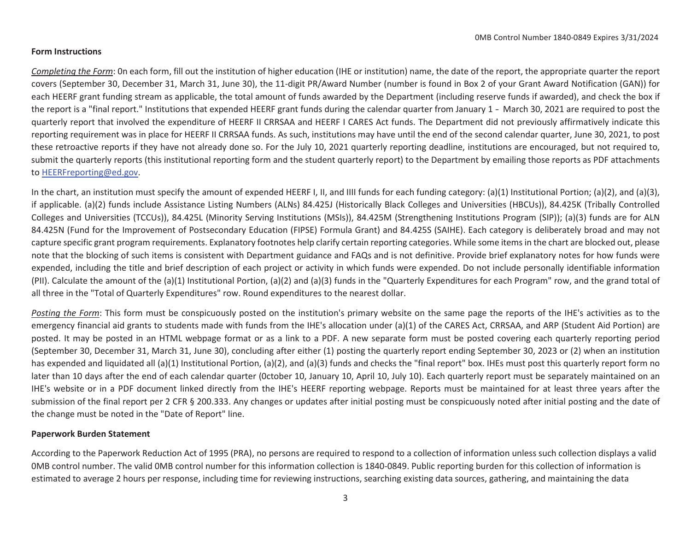## **Form Instructions**

*Completing the Form*: 0n each form, fill out the institution of higher education (IHE or institution) name, the date of the report, the appropriate quarter the report covers (September 30, December 31, March 31, June 30), the 11-digit PR/Award Number (number is found in Box 2 of your Grant Award Notification (GAN)) for each HEERF grant funding stream as applicable, the total amount of funds awarded by the Department (including reserve funds if awarded), and check the box if the report is a "final report." Institutions that expended HEERF grant funds during the calendar quarter from January 1 - March 30, 2021 are required to post the quarterly report that involved the expenditure of HEERF II CRRSAA and HEERF I CARES Act funds. The Department did not previously affirmatively indicate this reporting requirement was in place for HEERF II CRRSAA funds. As such, institutions may have until the end of the second calendar quarter, June 30, 2021, to post these retroactive reports if they have not already done so. For the July 10, 2021 quarterly reporting deadline, institutions are encouraged, but not required to, submit the quarterly reports (this institutional reporting form and the student quarterly report) to the Department by emailing those reports as PDF attachments to [HEERFreporting@ed.gov.](mailto:HEERFreporting@ed.gov)

In the chart, an institution must specify the amount of expended HEERF I, II, and IIII funds for each funding category: (a)(1) Institutional Portion; (a)(2), and (a)(3), if applicable. (a)(2) funds include Assistance Listing Numbers (ALNs) 84.425J (Historically Black Colleges and Universities (HBCUs)), 84.425K (Tribally Controlled Colleges and Universities (TCCUs)), 84.425L (Minority Serving Institutions (MSIs)), 84.425M (Strengthening Institutions Program (SIP)); (a)(3) funds are for ALN 84.425N (Fund for the Improvement of Postsecondary Education (FIPSE) Formula Grant) and 84.425S (SAIHE). Each category is deliberately broad and may not capture specific grant program requirements. Explanatory footnotes help clarify certain reporting categories. While some itemsin the chart are blocked out, please note that the blocking of such items is consistent with Department guidance and FAQs and is not definitive. Provide brief explanatory notes for how funds were expended, including the title and brief description of each project or activity in which funds were expended. Do not include personally identifiable information (PII). Calculate the amount of the (a)(1) Institutional Portion, (a)(2) and (a)(3) funds in the "Quarterly Expenditures for each Program" row, and the grand total of all three in the "Total of Quarterly Expenditures" row. Round expenditures to the nearest dollar.

Posting the Form: This form must be conspicuously posted on the institution's primary website on the same page the reports of the IHE's activities as to the emergency financial aid grants to students made with funds from the IHE's allocation under (a)(1) of the CARES Act, CRRSAA, and ARP (Student Aid Portion) are posted. It may be posted in an HTML webpage format or as a link to a PDF. A new separate form must be posted covering each quarterly reporting period (September 30, December 31, March 31, June 30), concluding after either (1) posting the quarterly report ending September 30, 2023 or (2) when an institution has expended and liquidated all (a)(1) Institutional Portion, (a)(2), and (a)(3) funds and checks the "final report" box. IHEs must post this quarterly report form no later than 10 days after the end of each calendar quarter (October 10, January 10, April 10, July 10). Each quarterly report must be separately maintained on an IHE's website or in a PDF document linked directly from the IHE's HEERF reporting webpage. Reports must be maintained for at least three years after the submission of the final report per 2 CFR § 200.333. Any changes or updates after initial posting must be conspicuously noted after initial posting and the date of the change must be noted in the "Date of Report" line.

## **Paperwork Burden Statement**

According to the Paperwork Reduction Act of 1995 (PRA), no persons are required to respond to a collection of information unless such collection displays a valid 0MB control number. The valid 0MB control number for this information collection is 1840-0849. Public reporting burden for this collection of information is estimated to average 2 hours per response, including time for reviewing instructions, searching existing data sources, gathering, and maintaining the data